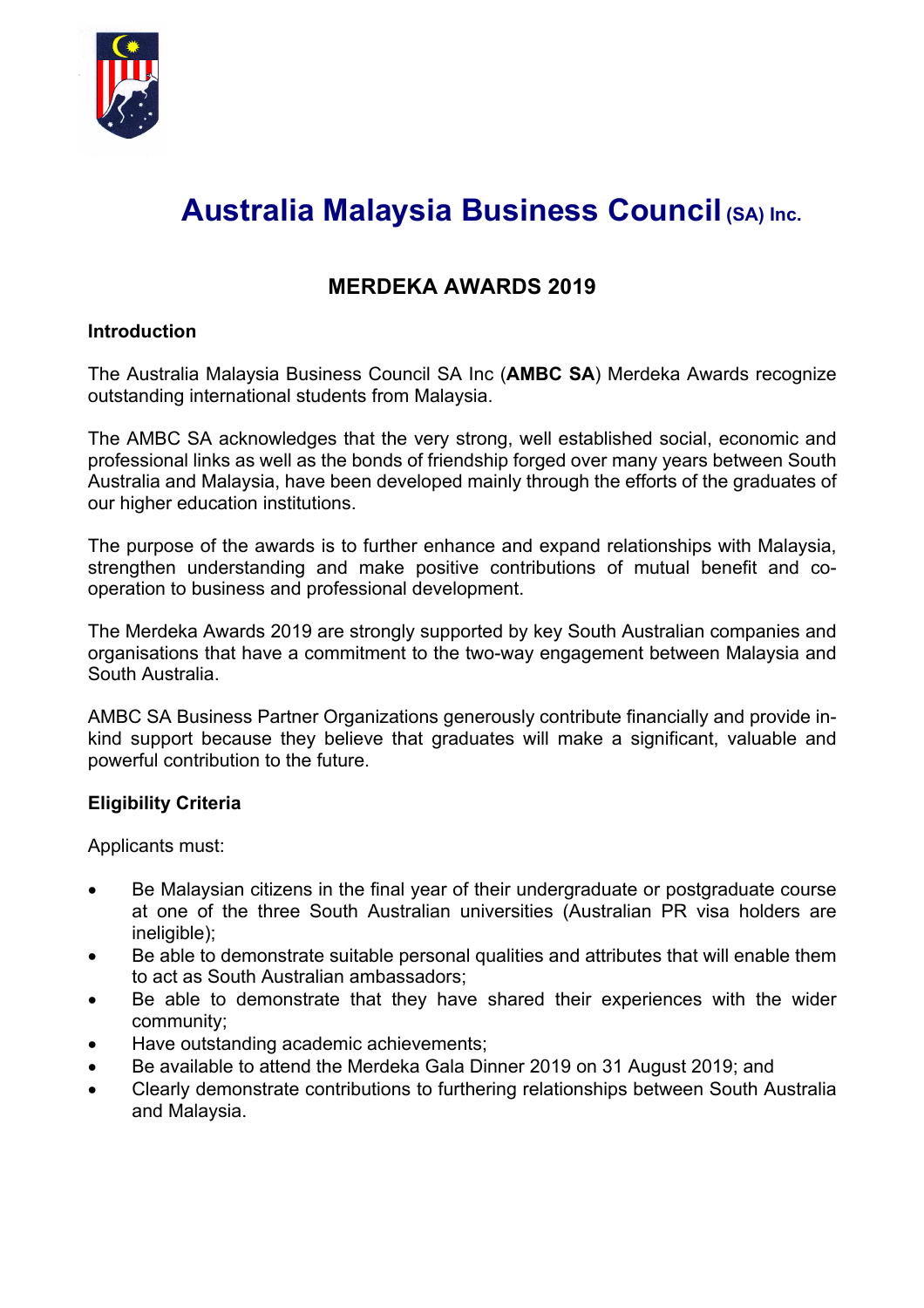

# **Australia Malaysia Business Council (SA) Inc.**

# **MERDEKA AWARDS 2019**

# **Introduction**

The Australia Malaysia Business Council SA Inc (**AMBC SA**) Merdeka Awards recognize outstanding international students from Malaysia.

The AMBC SA acknowledges that the very strong, well established social, economic and professional links as well as the bonds of friendship forged over many years between South Australia and Malaysia, have been developed mainly through the efforts of the graduates of our higher education institutions.

The purpose of the awards is to further enhance and expand relationships with Malaysia, strengthen understanding and make positive contributions of mutual benefit and cooperation to business and professional development.

The Merdeka Awards 2019 are strongly supported by key South Australian companies and organisations that have a commitment to the two-way engagement between Malaysia and South Australia.

AMBC SA Business Partner Organizations generously contribute financially and provide inkind support because they believe that graduates will make a significant, valuable and powerful contribution to the future.

# **Eligibility Criteria**

Applicants must:

- Be Malaysian citizens in the final year of their undergraduate or postgraduate course at one of the three South Australian universities (Australian PR visa holders are ineligible);
- Be able to demonstrate suitable personal qualities and attributes that will enable them to act as South Australian ambassadors;
- Be able to demonstrate that they have shared their experiences with the wider community;
- Have outstanding academic achievements;
- Be available to attend the Merdeka Gala Dinner 2019 on 31 August 2019; and
- Clearly demonstrate contributions to furthering relationships between South Australia and Malaysia.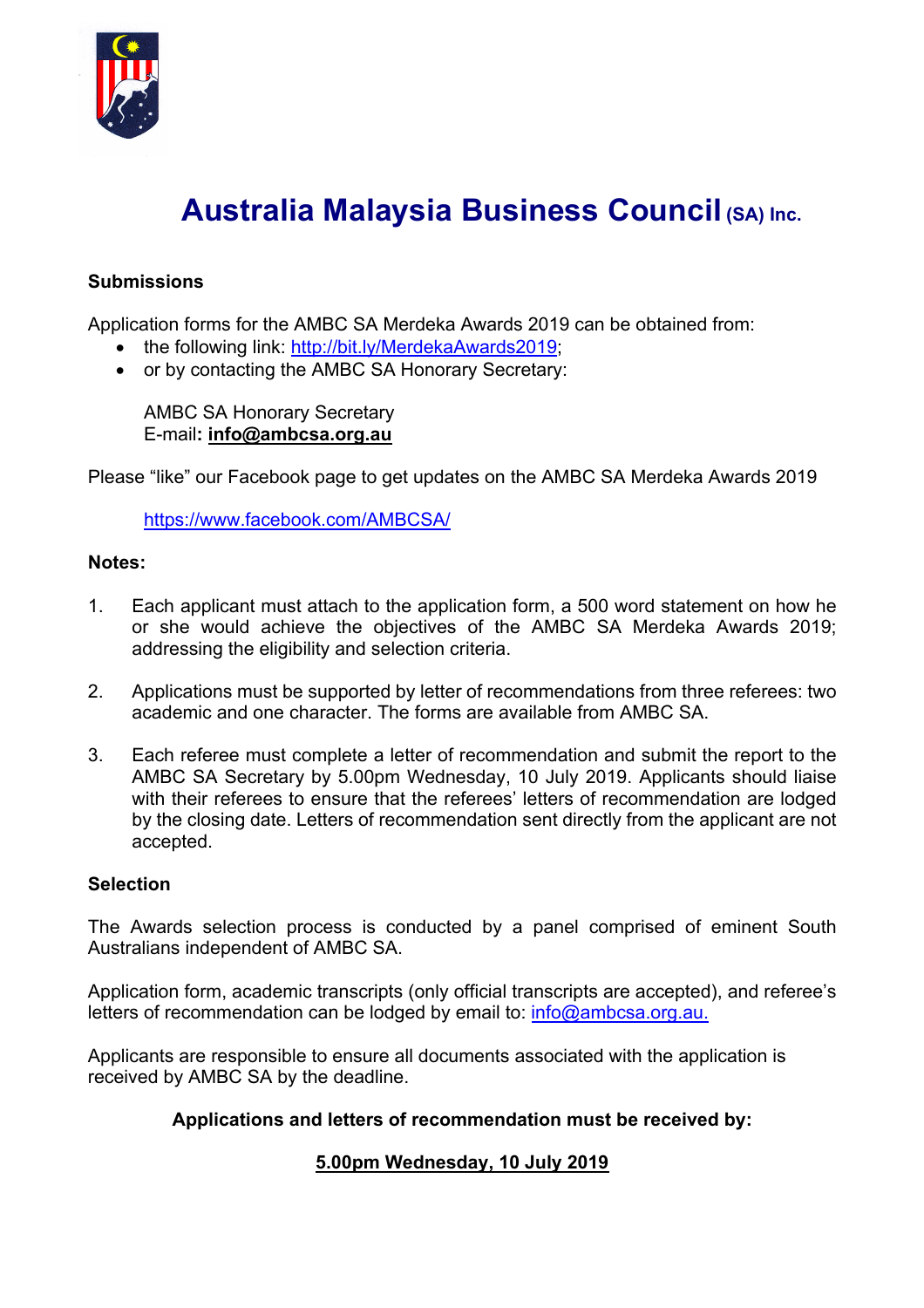

# **Australia Malaysia Business Council (SA) Inc.**

# **Submissions**

Application forms for the AMBC SA Merdeka Awards 2019 can be obtained from:

- the following link: http://bit.ly/MerdekaAwards2019;
- or by contacting the AMBC SA Honorary Secretary:

AMBC SA Honorary Secretary E-mail**: info@ambcsa.org.au**

Please "like" our Facebook page to get updates on the AMBC SA Merdeka Awards 2019

https://www.facebook.com/AMBCSA/

#### **Notes:**

- 1. Each applicant must attach to the application form, a 500 word statement on how he or she would achieve the objectives of the AMBC SA Merdeka Awards 2019; addressing the eligibility and selection criteria.
- 2. Applications must be supported by letter of recommendations from three referees: two academic and one character. The forms are available from AMBC SA.
- 3. Each referee must complete a letter of recommendation and submit the report to the AMBC SA Secretary by 5.00pm Wednesday, 10 July 2019. Applicants should liaise with their referees to ensure that the referees' letters of recommendation are lodged by the closing date. Letters of recommendation sent directly from the applicant are not accepted.

#### **Selection**

The Awards selection process is conducted by a panel comprised of eminent South Australians independent of AMBC SA.

Application form, academic transcripts (only official transcripts are accepted), and referee's letters of recommendation can be lodged by email to: info@ambcsa.org.au.

Applicants are responsible to ensure all documents associated with the application is received by AMBC SA by the deadline.

# **Applications and letters of recommendation must be received by:**

# **5.00pm Wednesday, 10 July 2019**